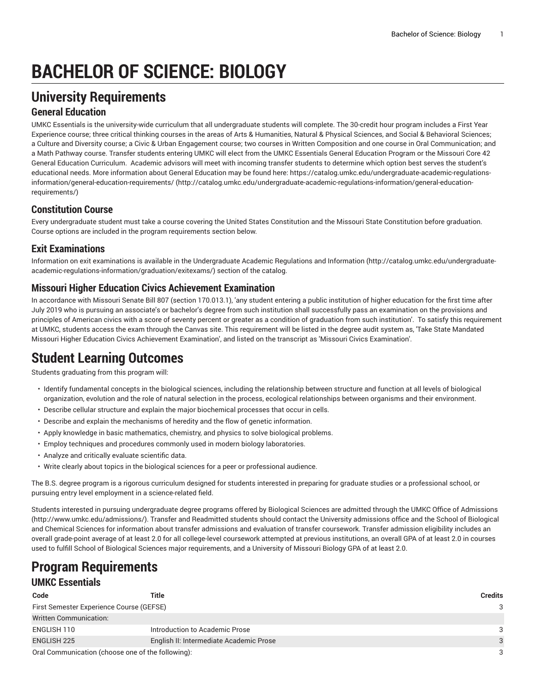# **BACHELOR OF SCIENCE: BIOLOGY**

# **University Requirements**

### **General Education**

UMKC Essentials is the university-wide curriculum that all undergraduate students will complete. The 30-credit hour program includes a First Year Experience course; three critical thinking courses in the areas of Arts & Humanities, Natural & Physical Sciences, and Social & Behavioral Sciences; a Culture and Diversity course; a Civic & Urban Engagement course; two courses in Written Composition and one course in Oral Communication; and a Math Pathway course. Transfer students entering UMKC will elect from the UMKC Essentials General Education Program or the Missouri Core 42 General Education Curriculum. Academic advisors will meet with incoming transfer students to determine which option best serves the student's educational needs. More information about General Education may be found here: [https://catalog.umkc.edu/undergraduate-academic-regulations](http://catalog.umkc.edu/undergraduate-academic-regulations-information/general-education-requirements/)[information/general-education-requirements/](http://catalog.umkc.edu/undergraduate-academic-regulations-information/general-education-requirements/) ([http://catalog.umkc.edu/undergraduate-academic-regulations-information/general-education](http://catalog.umkc.edu/undergraduate-academic-regulations-information/general-education-requirements/)[requirements/\)](http://catalog.umkc.edu/undergraduate-academic-regulations-information/general-education-requirements/)

### **Constitution Course**

Every undergraduate student must take a course covering the United States Constitution and the Missouri State Constitution before graduation. Course options are included in the program requirements section below.

### **Exit Examinations**

Information on exit examinations is available in the [Undergraduate](http://catalog.umkc.edu/undergraduate-academic-regulations-information/graduation/exitexams/) Academic Regulations and Information [\(http://catalog.umkc.edu/undergraduate](http://catalog.umkc.edu/undergraduate-academic-regulations-information/graduation/exitexams/)[academic-regulations-information/graduation/exitexams/](http://catalog.umkc.edu/undergraduate-academic-regulations-information/graduation/exitexams/)) section of the catalog.

### **Missouri Higher Education Civics Achievement Examination**

In accordance with Missouri Senate Bill 807 (section 170.013.1), 'any student entering a public institution of higher education for the first time after July 2019 who is pursuing an associate's or bachelor's degree from such institution shall successfully pass an examination on the provisions and principles of American civics with a score of seventy percent or greater as a condition of graduation from such institution'. To satisfy this requirement at UMKC, students access the exam through the Canvas site. This requirement will be listed in the degree audit system as, 'Take State Mandated Missouri Higher Education Civics Achievement Examination', and listed on the transcript as 'Missouri Civics Examination'.

# **Student Learning Outcomes**

Students graduating from this program will:

- Identify fundamental concepts in the biological sciences, including the relationship between structure and function at all levels of biological organization, evolution and the role of natural selection in the process, ecological relationships between organisms and their environment.
- Describe cellular structure and explain the major biochemical processes that occur in cells.
- Describe and explain the mechanisms of heredity and the flow of genetic information.
- Apply knowledge in basic mathematics, chemistry, and physics to solve biological problems.
- Employ techniques and procedures commonly used in modern biology laboratories.
- Analyze and critically evaluate scientific data.
- Write clearly about topics in the biological sciences for a peer or professional audience.

The B.S. degree program is a rigorous curriculum designed for students interested in preparing for graduate studies or a professional school, or pursuing entry level employment in a science-related field.

Students interested in pursuing undergraduate degree programs offered by Biological Sciences are admitted through the UMKC Office of [Admissions](http://www.umkc.edu/admissions/) (<http://www.umkc.edu/admissions/>). Transfer and Readmitted students should contact the University admissions office and the School of Biological and Chemical Sciences for information about transfer admissions and evaluation of transfer coursework. Transfer admission eligibility includes an overall grade-point average of at least 2.0 for all college-level coursework attempted at previous institutions, an overall GPA of at least 2.0 in courses used to fulfill School of Biological Sciences major requirements, and a University of Missouri Biology GPA of at least 2.0.

# **Program Requirements**

### **UMKC Essentials**

| Code                                              | Title                                   | <b>Credits</b> |
|---------------------------------------------------|-----------------------------------------|----------------|
| First Semester Experience Course (GEFSE)          |                                         | 3              |
| Written Communication:                            |                                         |                |
| ENGLISH 110                                       | Introduction to Academic Prose          | 3              |
| <b>ENGLISH 225</b>                                | English II: Intermediate Academic Prose | $\mathcal{E}$  |
| Oral Communication (choose one of the following): |                                         |                |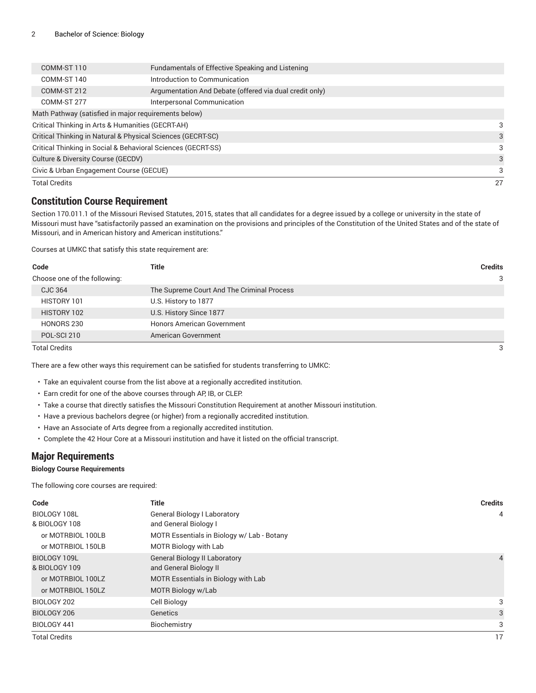| COMM-ST 110                                                  | Fundamentals of Effective Speaking and Listening        |    |
|--------------------------------------------------------------|---------------------------------------------------------|----|
| COMM-ST 140                                                  | Introduction to Communication                           |    |
| COMM-ST 212                                                  | Argumentation And Debate (offered via dual credit only) |    |
| COMM-ST 277                                                  | Interpersonal Communication                             |    |
|                                                              | Math Pathway (satisfied in major requirements below)    |    |
| Critical Thinking in Arts & Humanities (GECRT-AH)            |                                                         | 3  |
| Critical Thinking in Natural & Physical Sciences (GECRT-SC)  |                                                         | 3  |
| Critical Thinking in Social & Behavioral Sciences (GECRT-SS) |                                                         | 3  |
| Culture & Diversity Course (GECDV)                           |                                                         | 3  |
| Civic & Urban Engagement Course (GECUE)                      |                                                         | 3  |
| <b>Total Credits</b>                                         |                                                         | 27 |

#### **Constitution Course Requirement**

Section 170.011.1 of the Missouri Revised Statutes, 2015, states that all candidates for a degree issued by a college or university in the state of Missouri must have "satisfactorily passed an examination on the provisions and principles of the Constitution of the United States and of the state of Missouri, and in American history and American institutions."

Courses at UMKC that satisfy this state requirement are:

| Code                         | Title                                      | <b>Credits</b> |
|------------------------------|--------------------------------------------|----------------|
| Choose one of the following: |                                            | 3              |
| CJC 364                      | The Supreme Court And The Criminal Process |                |
| HISTORY 101                  | U.S. History to 1877                       |                |
| HISTORY 102                  | U.S. History Since 1877                    |                |
| HONORS 230                   | <b>Honors American Government</b>          |                |
| POL-SCI 210                  | American Government                        |                |
| <b>Total Credits</b>         |                                            | 3              |

There are a few other ways this requirement can be satisfied for students transferring to UMKC:

- Take an equivalent course from the list above at a regionally accredited institution.
- Earn credit for one of the above courses through AP, IB, or CLEP.
- Take a course that directly satisfies the Missouri Constitution Requirement at another Missouri institution.
- Have a previous bachelors degree (or higher) from a regionally accredited institution.
- Have an Associate of Arts degree from a regionally accredited institution.
- Complete the 42 Hour Core at a Missouri institution and have it listed on the official transcript.

#### **Major Requirements**

#### **Biology Course Requirements**

The following core courses are required:

| Code                          | <b>Title</b>                                                   | <b>Credits</b> |
|-------------------------------|----------------------------------------------------------------|----------------|
| BIOLOGY 108L                  | <b>General Biology I Laboratory</b>                            | 4              |
| & BIOLOGY 108                 | and General Biology I                                          |                |
| or MOTRBIOL 100LB             | MOTR Essentials in Biology w/ Lab - Botany                     |                |
| or MOTRBIOL 150LB             | MOTR Biology with Lab                                          |                |
| BIOLOGY 109L<br>& BIOLOGY 109 | <b>General Biology II Laboratory</b><br>and General Biology II | 4              |
| or MOTRBIOL 100LZ             | MOTR Essentials in Biology with Lab                            |                |
| or MOTRBIOL 150LZ             | MOTR Biology w/Lab                                             |                |
| BIOLOGY 202                   | Cell Biology                                                   | 3              |
| BIOLOGY 206                   | Genetics                                                       | 3              |
| BIOLOGY 441                   | Biochemistry                                                   | 3              |
| <b>Total Credits</b>          |                                                                | 17             |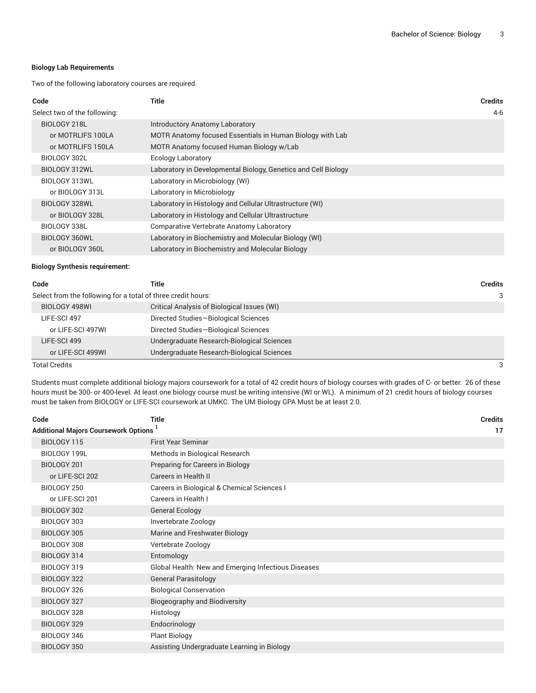#### **Biology Lab Requirements**

Two of the following laboratory courses are required.

| Title                                                          | Credits |
|----------------------------------------------------------------|---------|
|                                                                | $4-6$   |
| Introductory Anatomy Laboratory                                |         |
| MOTR Anatomy focused Essentials in Human Biology with Lab      |         |
| MOTR Anatomy focused Human Biology w/Lab                       |         |
| <b>Ecology Laboratory</b>                                      |         |
| Laboratory in Developmental Biology, Genetics and Cell Biology |         |
| Laboratory in Microbiology (WI)                                |         |
| Laboratory in Microbiology                                     |         |
| Laboratory in Histology and Cellular Ultrastructure (WI)       |         |
| Laboratory in Histology and Cellular Ultrastructure            |         |
| <b>Comparative Vertebrate Anatomy Laboratory</b>               |         |
| Laboratory in Biochemistry and Molecular Biology (WI)          |         |
| Laboratory in Biochemistry and Molecular Biology               |         |
|                                                                |         |

#### **Biology Synthesis requirement:**

| Code                                                         | Title                                       | <b>Credits</b> |
|--------------------------------------------------------------|---------------------------------------------|----------------|
| Select from the following for a total of three credit hours: |                                             | 3              |
| BIOLOGY 498WI                                                | Critical Analysis of Biological Issues (WI) |                |
| LIFE-SCI 497                                                 | Directed Studies-Biological Sciences        |                |
| or LIFE-SCI 497WI                                            | Directed Studies-Biological Sciences        |                |
| LIFE-SCI 499                                                 | Undergraduate Research-Biological Sciences  |                |
| or LIFE-SCI 499WI                                            | Undergraduate Research-Biological Sciences  |                |
|                                                              |                                             |                |

Total Credits 3

Students must complete additional biology majors coursework for a total of 42 credit hours of biology courses with grades of C- or better. 26 of these hours must be 300- or 400-level. At least one biology course must be writing intensive (WI or WL). A minimum of 21 credit hours of biology courses must be taken from BIOLOGY or LIFE-SCI coursework at UMKC. The UM Biology GPA Must be at least 2.0.

| Code                                        | <b>Title</b>                                        | <b>Credits</b> |
|---------------------------------------------|-----------------------------------------------------|----------------|
| <b>Additional Majors Coursework Options</b> |                                                     | 17             |
| BIOLOGY 115                                 | <b>First Year Seminar</b>                           |                |
| BIOLOGY 199L                                | Methods in Biological Research                      |                |
| BIOLOGY 201                                 | Preparing for Careers in Biology                    |                |
| or LIFE-SCI 202                             | Careers in Health II                                |                |
| BIOLOGY 250                                 | Careers in Biological & Chemical Sciences I         |                |
| or LIFE-SCI 201                             | Careers in Health I                                 |                |
| BIOLOGY 302                                 | <b>General Ecology</b>                              |                |
| BIOLOGY 303                                 | Invertebrate Zoology                                |                |
| BIOLOGY 305                                 | Marine and Freshwater Biology                       |                |
| BIOLOGY 308                                 | Vertebrate Zoology                                  |                |
| BIOLOGY 314                                 | Entomology                                          |                |
| BIOLOGY 319                                 | Global Health: New and Emerging Infectious Diseases |                |
| BIOLOGY 322                                 | <b>General Parasitology</b>                         |                |
| BIOLOGY 326                                 | <b>Biological Conservation</b>                      |                |
| BIOLOGY 327                                 | <b>Biogeography and Biodiversity</b>                |                |
| BIOLOGY 328                                 | Histology                                           |                |
| BIOLOGY 329                                 | Endocrinology                                       |                |
| BIOLOGY 346                                 | <b>Plant Biology</b>                                |                |
| BIOLOGY 350                                 | Assisting Undergraduate Learning in Biology         |                |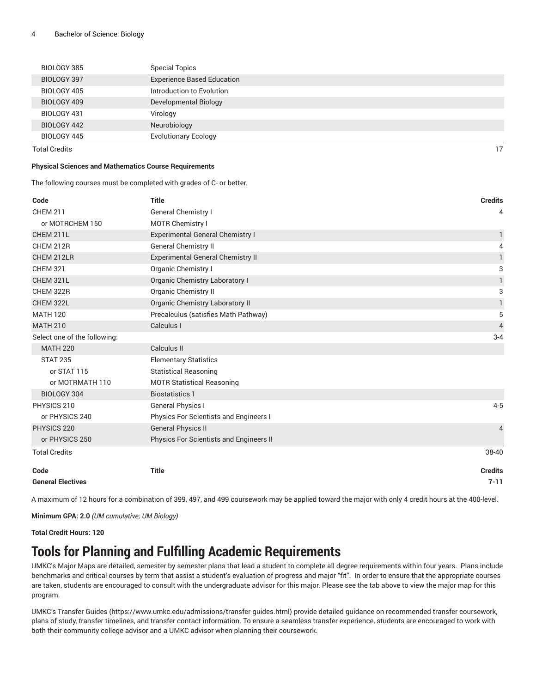| BIOLOGY 385          | <b>Special Topics</b>             |    |
|----------------------|-----------------------------------|----|
| BIOLOGY 397          | <b>Experience Based Education</b> |    |
| BIOLOGY 405          | Introduction to Evolution         |    |
| BIOLOGY 409          | Developmental Biology             |    |
| BIOLOGY 431          | Virology                          |    |
| BIOLOGY 442          | Neurobiology                      |    |
| BIOLOGY 445          | <b>Evolutionary Ecology</b>       |    |
| <b>Total Credits</b> |                                   | 17 |

#### **Physical Sciences and Mathematics Course Requirements**

The following courses must be completed with grades of C- or better.

| Code                         | <b>Title</b>                                  | <b>Credits</b> |
|------------------------------|-----------------------------------------------|----------------|
| <b>CHEM 211</b>              | <b>General Chemistry I</b>                    | 4              |
| or MOTRCHEM 150              | <b>MOTR Chemistry I</b>                       |                |
| CHEM 211L                    | <b>Experimental General Chemistry I</b>       | $\mathbf{1}$   |
| CHEM 212R                    | <b>General Chemistry II</b>                   | 4              |
| CHEM 212LR                   | <b>Experimental General Chemistry II</b>      | $\mathbf{1}$   |
| <b>CHEM 321</b>              | Organic Chemistry I                           | 3              |
| CHEM 321L                    | Organic Chemistry Laboratory I                | $\mathbbm{1}$  |
| CHEM 322R                    | <b>Organic Chemistry II</b>                   | 3              |
| CHEM 322L                    | Organic Chemistry Laboratory II               | $\mathbf{1}$   |
| <b>MATH 120</b>              | Precalculus (satisfies Math Pathway)          | 5              |
| <b>MATH 210</b>              | Calculus I                                    | $\overline{4}$ |
| Select one of the following: |                                               | $3 - 4$        |
| <b>MATH 220</b>              | Calculus II                                   |                |
| <b>STAT 235</b>              | <b>Elementary Statistics</b>                  |                |
| or STAT 115                  | <b>Statistical Reasoning</b>                  |                |
| or MOTRMATH 110              | <b>MOTR Statistical Reasoning</b>             |                |
| BIOLOGY 304                  | <b>Biostatistics 1</b>                        |                |
| PHYSICS 210                  | <b>General Physics I</b>                      | $4 - 5$        |
| or PHYSICS 240               | <b>Physics For Scientists and Engineers I</b> |                |
| PHYSICS 220                  | <b>General Physics II</b>                     | $\overline{4}$ |
| or PHYSICS 250               | Physics For Scientists and Engineers II       |                |
| <b>Total Credits</b>         |                                               | 38-40          |
| Code                         | <b>Title</b>                                  | <b>Credits</b> |
| <b>General Electives</b>     |                                               | $7 - 11$       |

A maximum of 12 hours for a combination of 399, 497, and 499 coursework may be applied toward the major with only 4 credit hours at the 400-level.

**Minimum GPA: 2.0** *(UM cumulative; UM Biology)*

**Total Credit Hours: 120**

# **Tools for Planning and Fulfilling Academic Requirements**

UMKC's Major Maps are detailed, semester by semester plans that lead a student to complete all degree requirements within four years. Plans include benchmarks and critical courses by term that assist a student's evaluation of progress and major "fit". In order to ensure that the appropriate courses are taken, students are encouraged to consult with the undergraduate advisor for this major. Please see the tab above to view the major map for this program.

UMKC's [Transfer](https://www.umkc.edu/admissions/transfer-guides.html) Guides [\(https://www.umkc.edu/admissions/transfer-guides.html](https://www.umkc.edu/admissions/transfer-guides.html)) provide detailed guidance on recommended transfer coursework, plans of study, transfer timelines, and transfer contact information. To ensure a seamless transfer experience, students are encouraged to work with both their community college advisor and a UMKC advisor when planning their coursework.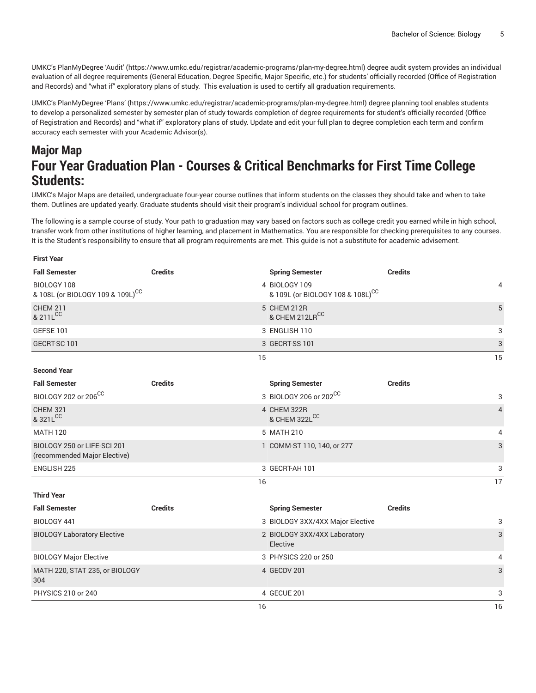UMKC's [PlanMyDegree](https://www.umkc.edu/registrar/academic-programs/plan-my-degree.html) 'Audit' ([https://www.umkc.edu/registrar/academic-programs/plan-my-degree.html\)](https://www.umkc.edu/registrar/academic-programs/plan-my-degree.html) degree audit system provides an individual evaluation of all degree requirements (General Education, Degree Specific, Major Specific, etc.) for students' officially recorded (Office of Registration and Records) and "what if" exploratory plans of study. This evaluation is used to certify all graduation requirements.

UMKC's [PlanMyDegree](https://www.umkc.edu/registrar/academic-programs/plan-my-degree.html) 'Plans' [\(https://www.umkc.edu/registrar/academic-programs/plan-my-degree.html\)](https://www.umkc.edu/registrar/academic-programs/plan-my-degree.html) degree planning tool enables students to develop a personalized semester by semester plan of study towards completion of degree requirements for student's officially recorded (Office of Registration and Records) and "what if" exploratory plans of study. Update and edit your full plan to degree completion each term and confirm accuracy each semester with your Academic Advisor(s).

## **Major Map Four Year Graduation Plan - Courses & Critical Benchmarks for First Time College Students:**

UMKC's Major Maps are detailed, undergraduate four-year course outlines that inform students on the classes they should take and when to take them. Outlines are updated yearly. Graduate students should visit their program's individual school for program outlines.

The following is a sample course of study. Your path to graduation may vary based on factors such as college credit you earned while in high school, transfer work from other institutions of higher learning, and placement in Mathematics. You are responsible for checking prerequisites to any courses. It is the Student's responsibility to ensure that all program requirements are met. This guide is not a substitute for academic advisement.

| <b>First Year</b>                                           |                |                                                               |                |
|-------------------------------------------------------------|----------------|---------------------------------------------------------------|----------------|
| <b>Fall Semester</b>                                        | <b>Credits</b> | <b>Spring Semester</b>                                        | <b>Credits</b> |
| BIOLOGY 108<br>& 108L (or BIOLOGY 109 & 109L) <sup>CC</sup> |                | 4 BIOLOGY 109<br>& 109L (or BIOLOGY 108 & 108L) <sup>CC</sup> | 4              |
| <b>CHEM 211</b><br>& 211LCC                                 |                | 5 CHEM 212R<br>& CHEM 212LRCC                                 | 5              |
| <b>GEFSE 101</b>                                            |                | 3 ENGLISH 110                                                 | 3              |
| GECRT-SC 101                                                |                | 3 GECRT-SS 101                                                | $\mathbf{3}$   |
|                                                             | 15             |                                                               | 15             |
| <b>Second Year</b>                                          |                |                                                               |                |
| <b>Fall Semester</b>                                        | <b>Credits</b> | <b>Spring Semester</b>                                        | <b>Credits</b> |
| BIOLOGY 202 or 206CC                                        |                | 3 BIOLOGY 206 or 202CC                                        | 3              |
| <b>CHEM 321</b><br>& 321LCC                                 |                | 4 CHEM 322R<br>& CHEM 322LCC                                  | $\overline{4}$ |
| <b>MATH 120</b>                                             |                | 5 MATH 210                                                    | 4              |
| BIOLOGY 250 or LIFE-SCI 201<br>(recommended Major Elective) |                | 1 COMM-ST 110, 140, or 277                                    | 3              |
| <b>ENGLISH 225</b>                                          |                | 3 GECRT-AH 101                                                | 3              |
|                                                             | 16             |                                                               | 17             |
| <b>Third Year</b>                                           |                |                                                               |                |
| <b>Fall Semester</b>                                        | <b>Credits</b> | <b>Spring Semester</b>                                        | <b>Credits</b> |
| BIOLOGY 441                                                 |                | 3 BIOLOGY 3XX/4XX Major Elective                              | 3              |
| <b>BIOLOGY Laboratory Elective</b>                          |                | 2 BIOLOGY 3XX/4XX Laboratory<br>Elective                      | 3              |
| <b>BIOLOGY Major Elective</b>                               |                | 3 PHYSICS 220 or 250                                          | 4              |
| MATH 220, STAT 235, or BIOLOGY<br>304                       |                | 4 GECDV 201                                                   | 3              |
| <b>PHYSICS 210 or 240</b>                                   |                | 4 GECUE 201                                                   | 3              |

 $16$  and  $16$